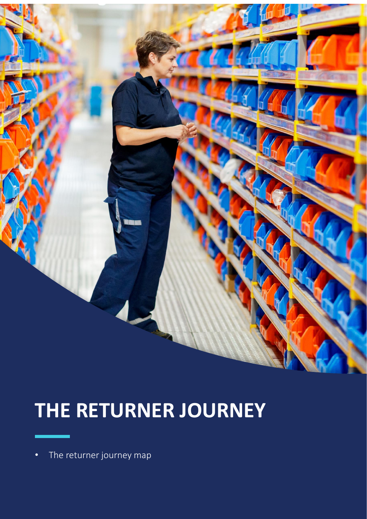## **THE RETURNER JOURNEY**

• The returner journey map

**THE RETURNER JOURNEY**

• The returner journey map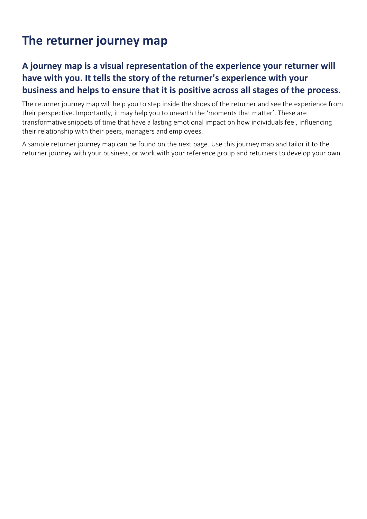## **The returner journey map**

## **A journey map is a visual representation of the experience your returner will have with you. It tells the story of the returner's experience with your business and helps to ensure that it is positive across all stages of the process.**

The returner journey map will help you to step inside the shoes of the returner and see the experience from their perspective. Importantly, it may help you to unearth the 'moments that matter'. These are transformative snippets of time that have a lasting emotional impact on how individuals feel, influencing their relationship with their peers, managers and employees.

A sample returner journey map can be found on the next page. Use this journey map and tailor it to the returner journey with your business, or work with your reference group and returners to develop your own.